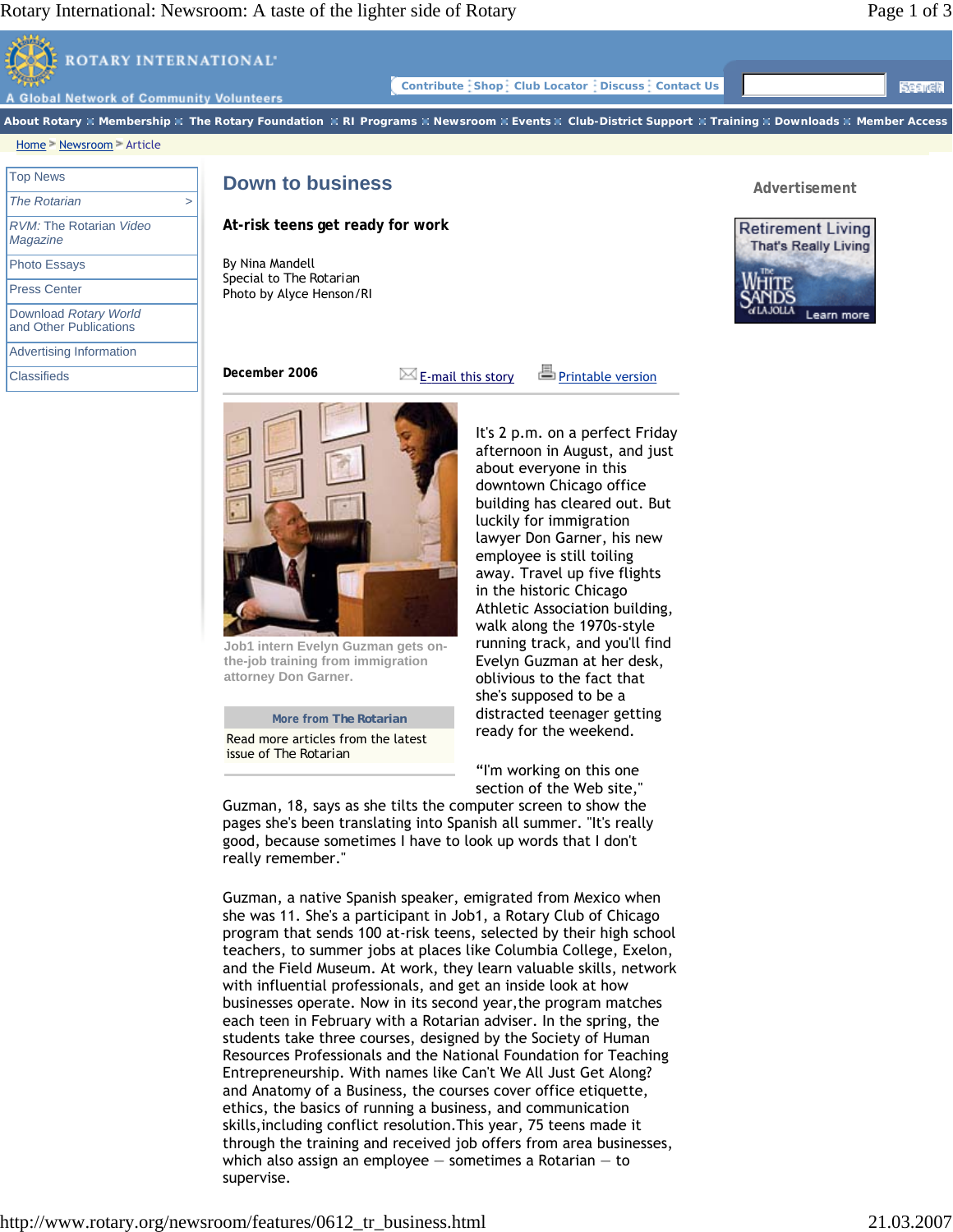Learn more



Press Center

Download *Rotary World* and Other Publications

Advertising Information

**Classifieds** 

By Nina Mandell Special to *The Rotarian*  Photo by Alyce Henson/RI

**December 2006**  $\mathbb{Z}_E$ -mail this story  $\mathbb{Z}_P$  Printable version



**Job1 intern Evelyn Guzman gets onthe-job training from immigration attorney Don Garner.** 

## **More from** *The Rotarian*

Read more articles from the latest issue of *The Rotarian*

It's 2 p.m. on a perfect Friday afternoon in August, and just about everyone in this downtown Chicago office building has cleared out. But luckily for immigration lawyer Don Garner, his new employee is still toiling away. Travel up five flights in the historic Chicago Athletic Association building, walk along the 1970s-style running track, and you'll find Evelyn Guzman at her desk, oblivious to the fact that she's supposed to be a distracted teenager getting ready for the weekend.

"I'm working on this one section of the Web site,"

Guzman, 18, says as she tilts the computer screen to show the pages she's been translating into Spanish all summer. "It's really good, because sometimes I have to look up words that I don't really remember."

Guzman, a native Spanish speaker, emigrated from Mexico when she was 11. She's a participant in Job1, a Rotary Club of Chicago program that sends 100 at-risk teens, selected by their high school teachers, to summer jobs at places like Columbia College, Exelon, and the Field Museum. At work, they learn valuable skills, network with influential professionals, and get an inside look at how businesses operate. Now in its second year,the program matches each teen in February with a Rotarian adviser. In the spring, the students take three courses, designed by the Society of Human Resources Professionals and the National Foundation for Teaching Entrepreneurship. With names like Can't We All Just Get Along? and Anatomy of a Business, the courses cover office etiquette, ethics, the basics of running a business, and communication skills,including conflict resolution.This year, 75 teens made it through the training and received job offers from area businesses, which also assign an employee  $-$  sometimes a Rotarian  $-$  to supervise.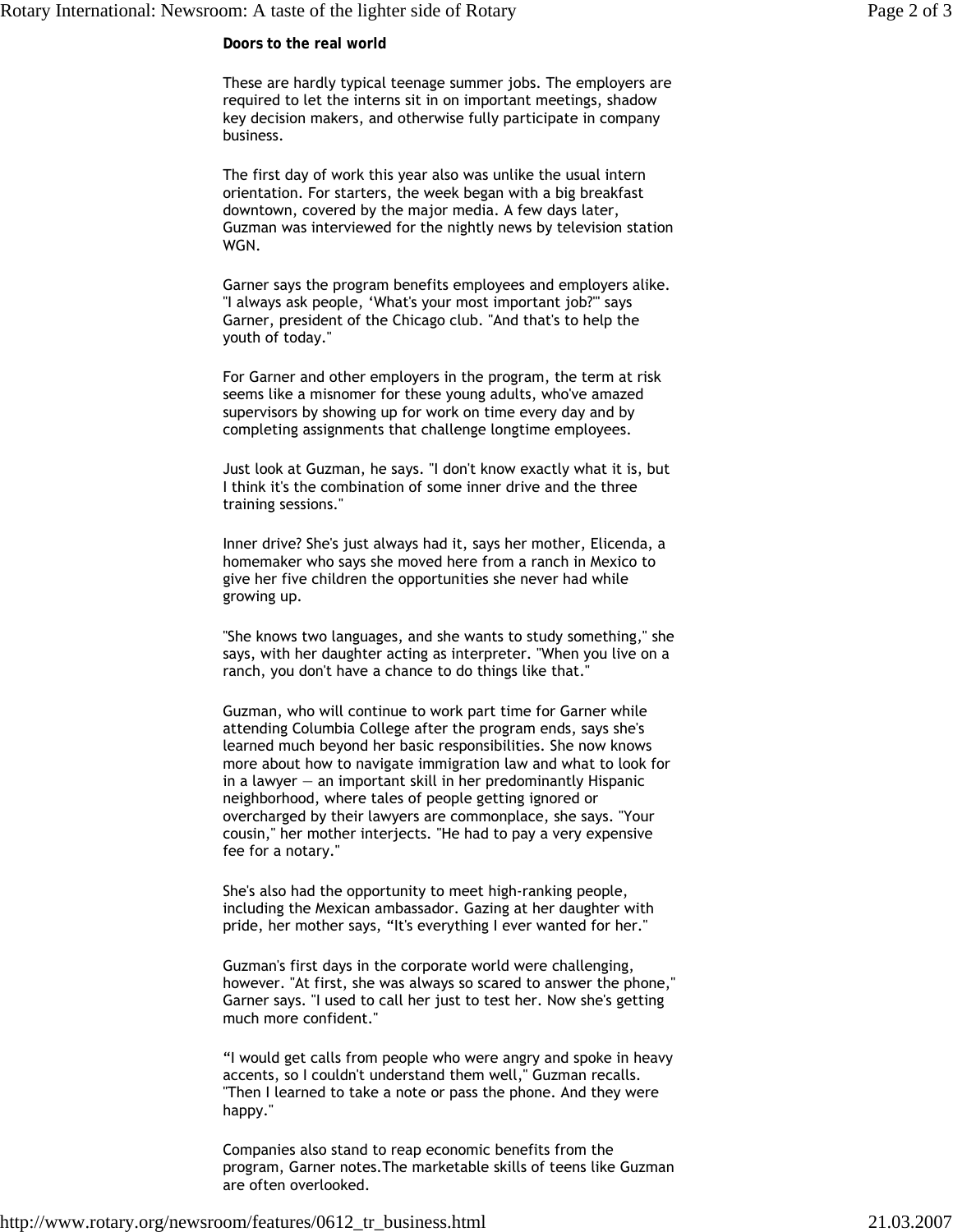**Doors to the real world**

These are hardly typical teenage summer jobs. The employers are required to let the interns sit in on important meetings, shadow key decision makers, and otherwise fully participate in company business.

The first day of work this year also was unlike the usual intern orientation. For starters, the week began with a big breakfast downtown, covered by the major media. A few days later, Guzman was interviewed for the nightly news by television station WGN.

Garner says the program benefits employees and employers alike. "I always ask people, 'What's your most important job?'" says Garner, president of the Chicago club. "And that's to help the youth of today."

For Garner and other employers in the program, the term at risk seems like a misnomer for these young adults, who've amazed supervisors by showing up for work on time every day and by completing assignments that challenge longtime employees.

Just look at Guzman, he says. "I don't know exactly what it is, but I think it's the combination of some inner drive and the three training sessions."

Inner drive? She's just always had it, says her mother, Elicenda, a homemaker who says she moved here from a ranch in Mexico to give her five children the opportunities she never had while growing up.

"She knows two languages, and she wants to study something," she says, with her daughter acting as interpreter. "When you live on a ranch, you don't have a chance to do things like that."

Guzman, who will continue to work part time for Garner while attending Columbia College after the program ends, says she's learned much beyond her basic responsibilities. She now knows more about how to navigate immigration law and what to look for in a lawyer  $-$  an important skill in her predominantly Hispanic neighborhood, where tales of people getting ignored or overcharged by their lawyers are commonplace, she says. "Your cousin," her mother interjects. "He had to pay a very expensive fee for a notary."

She's also had the opportunity to meet high-ranking people, including the Mexican ambassador. Gazing at her daughter with pride, her mother says, "It's everything I ever wanted for her."

Guzman's first days in the corporate world were challenging, however. "At first, she was always so scared to answer the phone," Garner says. "I used to call her just to test her. Now she's getting much more confident."

"I would get calls from people who were angry and spoke in heavy accents, so I couldn't understand them well," Guzman recalls. "Then I learned to take a note or pass the phone. And they were happy."

Companies also stand to reap economic benefits from the program, Garner notes.The marketable skills of teens like Guzman are often overlooked.